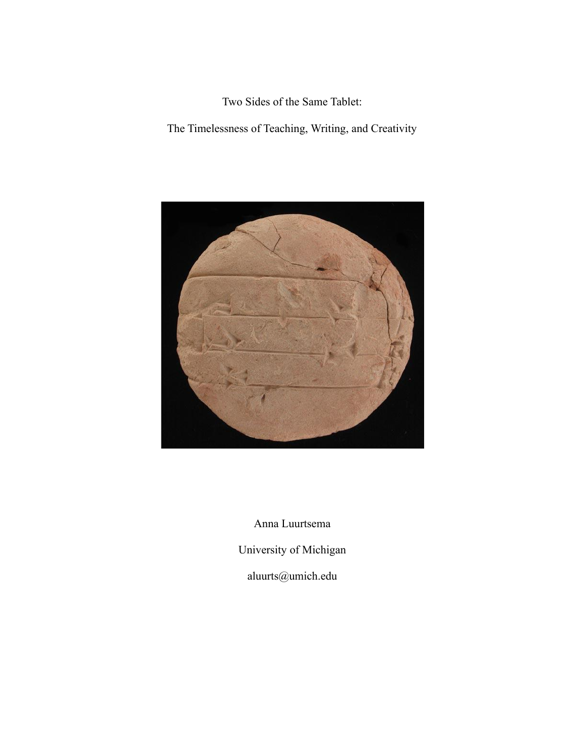Two Sides of the Same Tablet:

The Timelessness of Teaching, Writing, and Creativity



Anna Luurtsema

University of Michigan

aluurts@umich.edu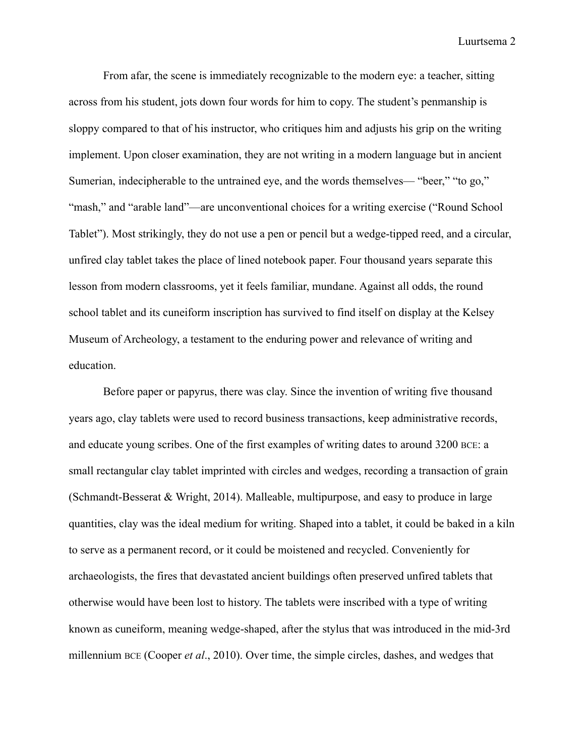From afar, the scene is immediately recognizable to the modern eye: a teacher, sitting across from his student, jots down four words for him to copy. The student's penmanship is sloppy compared to that of his instructor, who critiques him and adjusts his grip on the writing implement. Upon closer examination, they are not writing in a modern language but in ancient Sumerian, indecipherable to the untrained eye, and the words themselves— "beer," "to go," "mash," and "arable land"—are unconventional choices for a writing exercise ("Round School Tablet"). Most strikingly, they do not use a pen or pencil but a wedge-tipped reed, and a circular, unfired clay tablet takes the place of lined notebook paper. Four thousand years separate this lesson from modern classrooms, yet it feels familiar, mundane. Against all odds, the round school tablet and its cuneiform inscription has survived to find itself on display at the Kelsey Museum of Archeology, a testament to the enduring power and relevance of writing and education.

Before paper or papyrus, there was clay. Since the invention of writing five thousand years ago, clay tablets were used to record business transactions, keep administrative records, and educate young scribes. One of the first examples of writing dates to around 3200 BCE: a small rectangular clay tablet imprinted with circles and wedges, recording a transaction of grain (Schmandt-Besserat & Wright, 2014). Malleable, multipurpose, and easy to produce in large quantities, clay was the ideal medium for writing. Shaped into a tablet, it could be baked in a kiln to serve as a permanent record, or it could be moistened and recycled. Conveniently for archaeologists, the fires that devastated ancient buildings often preserved unfired tablets that otherwise would have been lost to history. The tablets were inscribed with a type of writing known as cuneiform, meaning wedge-shaped, after the stylus that was introduced in the mid-3rd millennium BCE (Cooper *et al*., 2010). Over time, the simple circles, dashes, and wedges that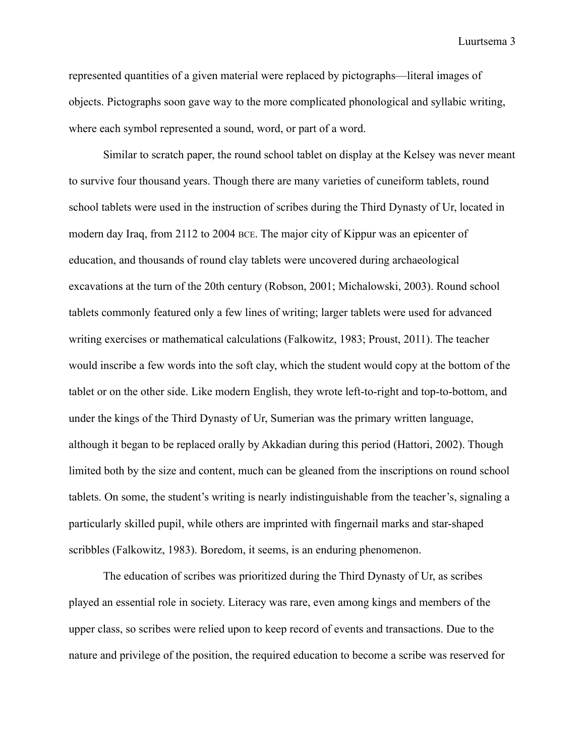represented quantities of a given material were replaced by pictographs—literal images of objects. Pictographs soon gave way to the more complicated phonological and syllabic writing, where each symbol represented a sound, word, or part of a word.

Similar to scratch paper, the round school tablet on display at the Kelsey was never meant to survive four thousand years. Though there are many varieties of cuneiform tablets, round school tablets were used in the instruction of scribes during the Third Dynasty of Ur, located in modern day Iraq, from 2112 to 2004 BCE. The major city of Kippur was an epicenter of education, and thousands of round clay tablets were uncovered during archaeological excavations at the turn of the 20th century (Robson, 2001; Michalowski, 2003). Round school tablets commonly featured only a few lines of writing; larger tablets were used for advanced writing exercises or mathematical calculations (Falkowitz, 1983; Proust, 2011). The teacher would inscribe a few words into the soft clay, which the student would copy at the bottom of the tablet or on the other side. Like modern English, they wrote left-to-right and top-to-bottom, and under the kings of the Third Dynasty of Ur, Sumerian was the primary written language, although it began to be replaced orally by Akkadian during this period (Hattori, 2002). Though limited both by the size and content, much can be gleaned from the inscriptions on round school tablets. On some, the student's writing is nearly indistinguishable from the teacher's, signaling a particularly skilled pupil, while others are imprinted with fingernail marks and star-shaped scribbles (Falkowitz, 1983). Boredom, it seems, is an enduring phenomenon.

The education of scribes was prioritized during the Third Dynasty of Ur, as scribes played an essential role in society. Literacy was rare, even among kings and members of the upper class, so scribes were relied upon to keep record of events and transactions. Due to the nature and privilege of the position, the required education to become a scribe was reserved for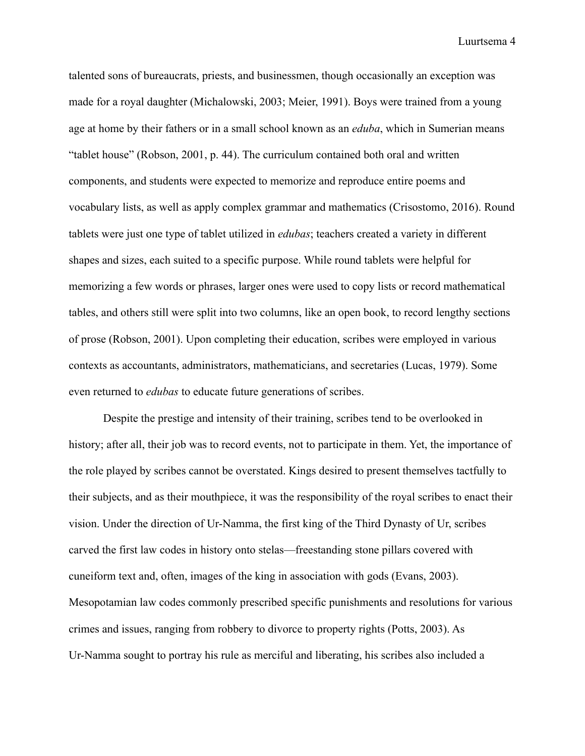talented sons of bureaucrats, priests, and businessmen, though occasionally an exception was made for a royal daughter (Michalowski, 2003; Meier, 1991). Boys were trained from a young age at home by their fathers or in a small school known as an *eduba*, which in Sumerian means "tablet house" (Robson, 2001, p. 44). The curriculum contained both oral and written components, and students were expected to memorize and reproduce entire poems and vocabulary lists, as well as apply complex grammar and mathematics (Crisostomo, 2016). Round tablets were just one type of tablet utilized in *edubas*; teachers created a variety in different shapes and sizes, each suited to a specific purpose. While round tablets were helpful for memorizing a few words or phrases, larger ones were used to copy lists or record mathematical tables, and others still were split into two columns, like an open book, to record lengthy sections of prose (Robson, 2001). Upon completing their education, scribes were employed in various contexts as accountants, administrators, mathematicians, and secretaries (Lucas, 1979). Some even returned to *edubas* to educate future generations of scribes.

Despite the prestige and intensity of their training, scribes tend to be overlooked in history; after all, their job was to record events, not to participate in them. Yet, the importance of the role played by scribes cannot be overstated. Kings desired to present themselves tactfully to their subjects, and as their mouthpiece, it was the responsibility of the royal scribes to enact their vision. Under the direction of Ur-Namma, the first king of the Third Dynasty of Ur, scribes carved the first law codes in history onto stelas—freestanding stone pillars covered with cuneiform text and, often, images of the king in association with gods (Evans, 2003). Mesopotamian law codes commonly prescribed specific punishments and resolutions for various crimes and issues, ranging from robbery to divorce to property rights (Potts, 2003). As Ur-Namma sought to portray his rule as merciful and liberating, his scribes also included a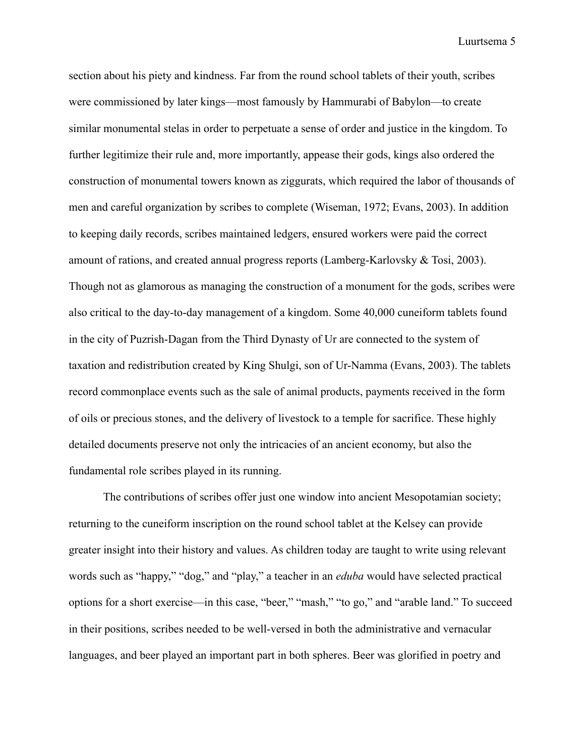section about his piety and kindness. Far from the round school tablets of their youth, scribes were commissioned by later kings—most famously by Hammurabi of Babylon—to create similar monumental stelas in order to perpetuate a sense of order and justice in the kingdom. To further legitimize their rule and, more importantly, appease their gods, kings also ordered the construction of monumental towers known as ziggurats, which required the labor of thousands of men and careful organization by scribes to complete (Wiseman, 1972; Evans, 2003). In addition to keeping daily records, scribes maintained ledgers, ensured workers were paid the correct amount of rations, and created annual progress reports (Lamberg-Karlovsky & Tosi, 2003). Though not as glamorous as managing the construction of a monument for the gods, scribes were also critical to the day-to-day management of a kingdom. Some 40,000 cuneiform tablets found in the city of Puzrish-Dagan from the Third Dynasty of Ur are connected to the system of taxation and redistribution created by King Shulgi, son of Ur-Namma (Evans, 2003). The tablets record commonplace events such as the sale of animal products, payments received in the form of oils or precious stones, and the delivery of livestock to a temple for sacrifice. These highly detailed documents preserve not only the intricacies of an ancient economy, but also the fundamental role scribes played in its running.

The contributions of scribes offer just one window into ancient Mesopotamian society; returning to the cuneiform inscription on the round school tablet at the Kelsey can provide greater insight into their history and values. As children today are taught to write using relevant words such as "happy," "dog," and "play," a teacher in an *eduba* would have selected practical options for a short exercise—in this case, "beer," "mash," "to go," and "arable land." To succeed in their positions, scribes needed to be well-versed in both the administrative and vernacular languages, and beer played an important part in both spheres. Beer was glorified in poetry and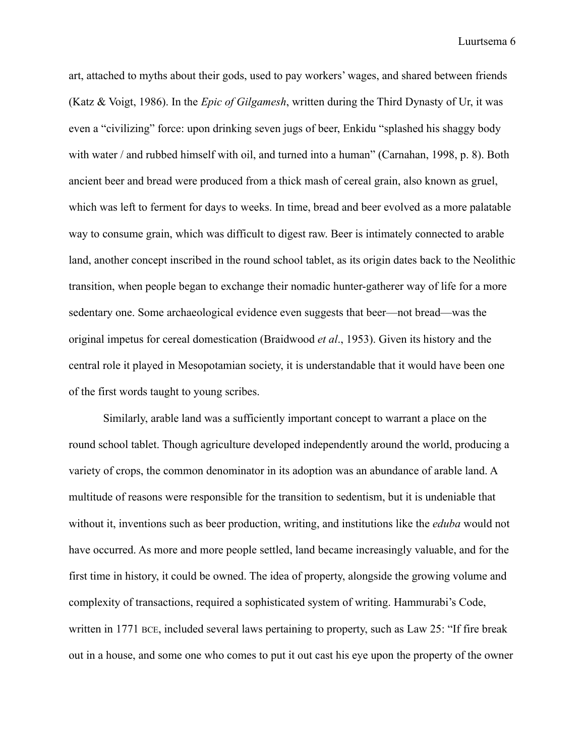art, attached to myths about their gods, used to pay workers' wages, and shared between friends (Katz & Voigt, 1986). In the *Epic of Gilgamesh*, written during the Third Dynasty of Ur, it was even a "civilizing" force: upon drinking seven jugs of beer, Enkidu "splashed his shaggy body with water / and rubbed himself with oil, and turned into a human" (Carnahan, 1998, p. 8). Both ancient beer and bread were produced from a thick mash of cereal grain, also known as gruel, which was left to ferment for days to weeks. In time, bread and beer evolved as a more palatable way to consume grain, which was difficult to digest raw. Beer is intimately connected to arable land, another concept inscribed in the round school tablet, as its origin dates back to the Neolithic transition, when people began to exchange their nomadic hunter-gatherer way of life for a more sedentary one. Some archaeological evidence even suggests that beer—not bread—was the original impetus for cereal domestication (Braidwood *et al*., 1953). Given its history and the central role it played in Mesopotamian society, it is understandable that it would have been one of the first words taught to young scribes.

Similarly, arable land was a sufficiently important concept to warrant a place on the round school tablet. Though agriculture developed independently around the world, producing a variety of crops, the common denominator in its adoption was an abundance of arable land. A multitude of reasons were responsible for the transition to sedentism, but it is undeniable that without it, inventions such as beer production, writing, and institutions like the *eduba* would not have occurred. As more and more people settled, land became increasingly valuable, and for the first time in history, it could be owned. The idea of property, alongside the growing volume and complexity of transactions, required a sophisticated system of writing. Hammurabi's Code, written in 1771 BCE, included several laws pertaining to property, such as Law 25: "If fire break out in a house, and some one who comes to put it out cast his eye upon the property of the owner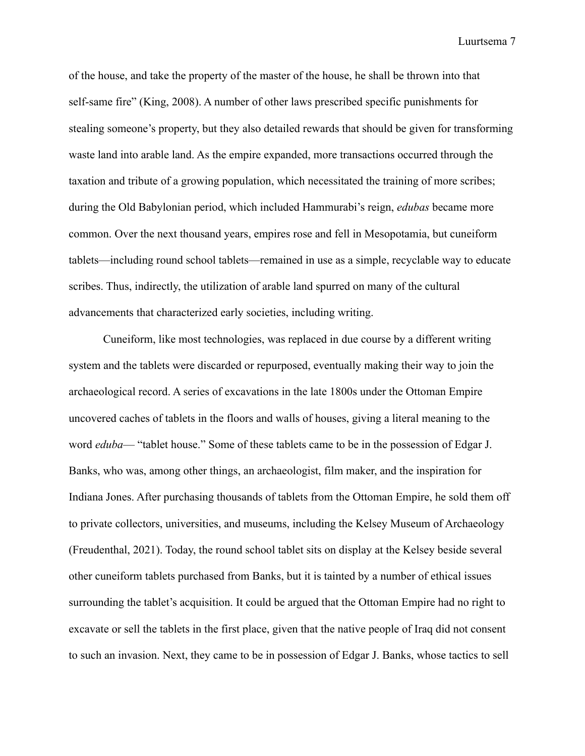of the house, and take the property of the master of the house, he shall be thrown into that self-same fire" (King, 2008). A number of other laws prescribed specific punishments for stealing someone's property, but they also detailed rewards that should be given for transforming waste land into arable land. As the empire expanded, more transactions occurred through the taxation and tribute of a growing population, which necessitated the training of more scribes; during the Old Babylonian period, which included Hammurabi's reign, *edubas* became more common. Over the next thousand years, empires rose and fell in Mesopotamia, but cuneiform tablets—including round school tablets—remained in use as a simple, recyclable way to educate scribes. Thus, indirectly, the utilization of arable land spurred on many of the cultural advancements that characterized early societies, including writing.

Cuneiform, like most technologies, was replaced in due course by a different writing system and the tablets were discarded or repurposed, eventually making their way to join the archaeological record. A series of excavations in the late 1800s under the Ottoman Empire uncovered caches of tablets in the floors and walls of houses, giving a literal meaning to the word *eduba*— "tablet house." Some of these tablets came to be in the possession of Edgar J. Banks, who was, among other things, an archaeologist, film maker, and the inspiration for Indiana Jones. After purchasing thousands of tablets from the Ottoman Empire, he sold them off to private collectors, universities, and museums, including the Kelsey Museum of Archaeology (Freudenthal, 2021). Today, the round school tablet sits on display at the Kelsey beside several other cuneiform tablets purchased from Banks, but it is tainted by a number of ethical issues surrounding the tablet's acquisition. It could be argued that the Ottoman Empire had no right to excavate or sell the tablets in the first place, given that the native people of Iraq did not consent to such an invasion. Next, they came to be in possession of Edgar J. Banks, whose tactics to sell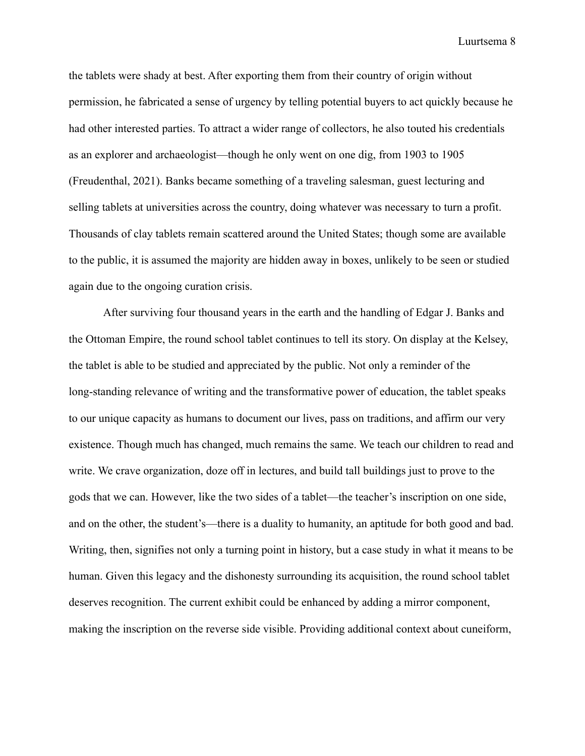the tablets were shady at best. After exporting them from their country of origin without permission, he fabricated a sense of urgency by telling potential buyers to act quickly because he had other interested parties. To attract a wider range of collectors, he also touted his credentials as an explorer and archaeologist—though he only went on one dig, from 1903 to 1905 (Freudenthal, 2021). Banks became something of a traveling salesman, guest lecturing and selling tablets at universities across the country, doing whatever was necessary to turn a profit. Thousands of clay tablets remain scattered around the United States; though some are available to the public, it is assumed the majority are hidden away in boxes, unlikely to be seen or studied again due to the ongoing curation crisis.

After surviving four thousand years in the earth and the handling of Edgar J. Banks and the Ottoman Empire, the round school tablet continues to tell its story. On display at the Kelsey, the tablet is able to be studied and appreciated by the public. Not only a reminder of the long-standing relevance of writing and the transformative power of education, the tablet speaks to our unique capacity as humans to document our lives, pass on traditions, and affirm our very existence. Though much has changed, much remains the same. We teach our children to read and write. We crave organization, doze off in lectures, and build tall buildings just to prove to the gods that we can. However, like the two sides of a tablet—the teacher's inscription on one side, and on the other, the student's—there is a duality to humanity, an aptitude for both good and bad. Writing, then, signifies not only a turning point in history, but a case study in what it means to be human. Given this legacy and the dishonesty surrounding its acquisition, the round school tablet deserves recognition. The current exhibit could be enhanced by adding a mirror component, making the inscription on the reverse side visible. Providing additional context about cuneiform,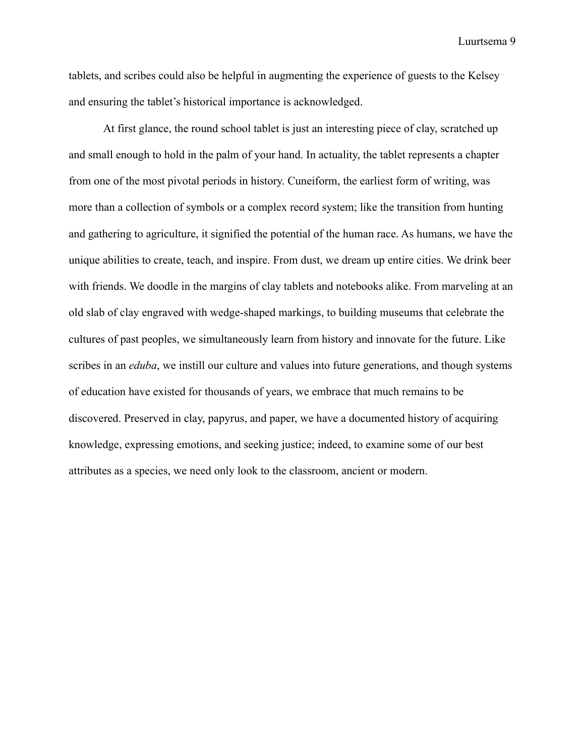tablets, and scribes could also be helpful in augmenting the experience of guests to the Kelsey and ensuring the tablet's historical importance is acknowledged.

At first glance, the round school tablet is just an interesting piece of clay, scratched up and small enough to hold in the palm of your hand. In actuality, the tablet represents a chapter from one of the most pivotal periods in history. Cuneiform, the earliest form of writing, was more than a collection of symbols or a complex record system; like the transition from hunting and gathering to agriculture, it signified the potential of the human race. As humans, we have the unique abilities to create, teach, and inspire. From dust, we dream up entire cities. We drink beer with friends. We doodle in the margins of clay tablets and notebooks alike. From marveling at an old slab of clay engraved with wedge-shaped markings, to building museums that celebrate the cultures of past peoples, we simultaneously learn from history and innovate for the future. Like scribes in an *eduba*, we instill our culture and values into future generations, and though systems of education have existed for thousands of years, we embrace that much remains to be discovered. Preserved in clay, papyrus, and paper, we have a documented history of acquiring knowledge, expressing emotions, and seeking justice; indeed, to examine some of our best attributes as a species, we need only look to the classroom, ancient or modern.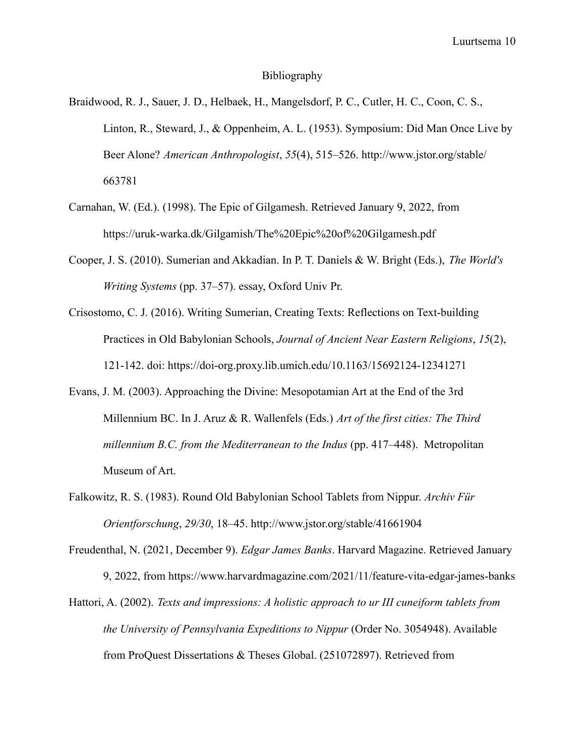## Bibliography

- Braidwood, R. J., Sauer, J. D., Helbaek, H., Mangelsdorf, P. C., Cutler, H. C., Coon, C. S., Linton, R., Steward, J., & Oppenheim, A. L. (1953). Symposium: Did Man Once Live by Beer Alone? *American Anthropologist*, *55*(4), 515–526. http://www.jstor.org/stable/ 663781
- Carnahan, W. (Ed.). (1998). The Epic of Gilgamesh. Retrieved January 9, 2022, from https://uruk-warka.dk/Gilgamish/The%20Epic%20of%20Gilgamesh.pdf
- Cooper, J. S. (2010). Sumerian and Akkadian. In P. T. Daniels & W. Bright (Eds.), *The World's Writing Systems* (pp. 37–57). essay, Oxford Univ Pr.
- Crisostomo, C. J. (2016). Writing Sumerian, Creating Texts: Reflections on Text-building Practices in Old Babylonian Schools, *Journal of Ancient Near Eastern Religions*, *15*(2), 121-142. doi: https://doi-org.proxy.lib.umich.edu/10.1163/15692124-12341271
- Evans, J. M. (2003). Approaching the Divine: Mesopotamian Art at the End of the 3rd Millennium BC. In J. Aruz & R. Wallenfels (Eds.) *Art of the first cities: The Third millennium B.C. from the Mediterranean to the Indus* (pp. 417–448). Metropolitan Museum of Art.
- Falkowitz, R. S. (1983). Round Old Babylonian School Tablets from Nippur. *Archiv Für Orientforschung*, *29/30*, 18–45. http://www.jstor.org/stable/41661904
- Freudenthal, N. (2021, December 9). *Edgar James Banks*. Harvard Magazine. Retrieved January 9, 2022, from https://www.harvardmagazine.com/2021/11/feature-vita-edgar-james-banks
- Hattori, A. (2002). *Texts and impressions: A holistic approach to ur III cuneiform tablets from the University of Pennsylvania Expeditions to Nippur* (Order No. 3054948). Available from ProQuest Dissertations & Theses Global. (251072897). Retrieved from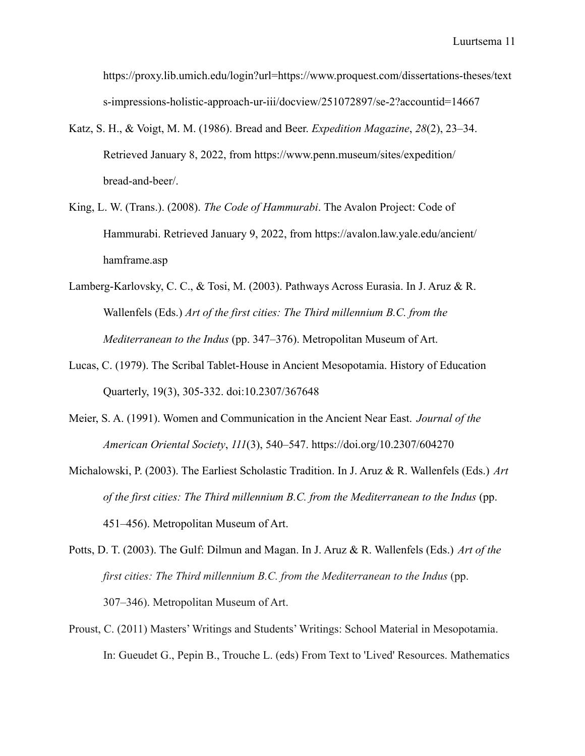[https://proxy.lib.umich.edu/login?url=https://www.proquest.com/dissertations-theses/text](https://proxy.lib.umich.edu/login?url=https://www.proquest.com/dissertations-theses/texts-impressions-holistic-approach-ur-iii/docview/251072897/se-2?accountid=14667) [s-impressions-holistic-approach-ur-iii/docview/251072897/se-2?accountid=14667](https://proxy.lib.umich.edu/login?url=https://www.proquest.com/dissertations-theses/texts-impressions-holistic-approach-ur-iii/docview/251072897/se-2?accountid=14667)

- Katz, S. H., & Voigt, M. M. (1986). Bread and Beer. *Expedition Magazine*, *28*(2), 23–34. Retrieved January 8, 2022, from https://www.penn.museum/sites/expedition/ [bread-and-beer/.](https://www.penn.museum/sites/expedition/bread-and-beer/)
- King, L. W. (Trans.). (2008). *The Code of Hammurabi*. The Avalon Project: Code of Hammurabi. Retrieved January 9, 2022, from https://avalon.law.yale.edu/ancient/ hamframe.asp
- Lamberg-Karlovsky, C. C., & Tosi, M. (2003). Pathways Across Eurasia. In J. Aruz & R. Wallenfels (Eds.) *Art of the first cities: The Third millennium B.C. from the Mediterranean to the Indus* (pp. 347–376). Metropolitan Museum of Art.
- Lucas, C. (1979). The Scribal Tablet-House in Ancient Mesopotamia. History of Education Quarterly, 19(3), 305-332. doi:10.2307/367648
- Meier, S. A. (1991). Women and Communication in the Ancient Near East. *Journal of the American Oriental Society*, *111*(3), 540–547. https://doi.org/10.2307/604270
- Michalowski, P. (2003). The Earliest Scholastic Tradition. In J. Aruz & R. Wallenfels (Eds.) *Art of the first cities: The Third millennium B.C. from the Mediterranean to the Indus* (pp. 451–456). Metropolitan Museum of Art.
- Potts, D. T. (2003). The Gulf: Dilmun and Magan. In J. Aruz & R. Wallenfels (Eds.) *Art of the first cities: The Third millennium B.C. from the Mediterranean to the Indus* (pp. 307–346). Metropolitan Museum of Art.
- Proust, C. (2011) Masters' Writings and Students' Writings: School Material in Mesopotamia. In: Gueudet G., Pepin B., Trouche L. (eds) From Text to 'Lived' Resources. Mathematics